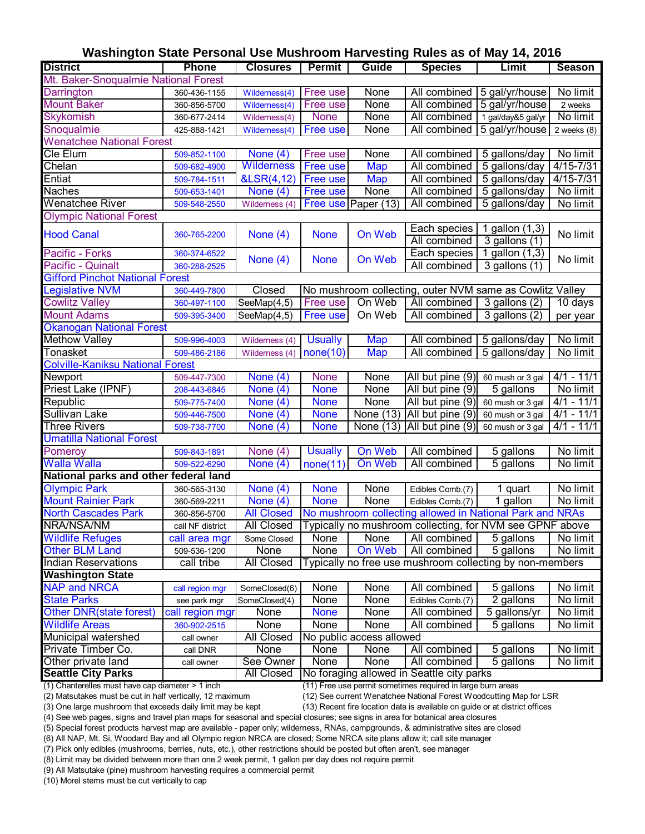# **Washington State Personal Use Mushroom Harvesting Rules as of May 14, 2016**

| <b>District</b>                                                                             | <b>Phone</b>     | <b>Closures</b>                 | <b>Permit</b>                                               | Guide                    | <b>Species</b>                                           | Limit              | <b>Season</b>   |
|---------------------------------------------------------------------------------------------|------------------|---------------------------------|-------------------------------------------------------------|--------------------------|----------------------------------------------------------|--------------------|-----------------|
| Mt. Baker-Snoqualmie National Forest                                                        |                  |                                 |                                                             |                          |                                                          |                    |                 |
| Darrington                                                                                  | 360-436-1155     | Wilderness(4)                   | Free use                                                    | None                     | All combined                                             | 5 gal/yr/house     | No limit        |
| <b>Mount Baker</b>                                                                          | 360-856-5700     | Wilderness(4)                   | Free use                                                    | None                     | All combined                                             | 5 gal/yr/house     | 2 weeks         |
| <b>Skykomish</b>                                                                            | 360-677-2414     | Wilderness(4)                   | <b>None</b>                                                 | None                     | All combined                                             | 1 gal/day&5 gal/yr | No limit        |
| Snoqualmie                                                                                  | 425-888-1421     | Wilderness(4)                   | Free use                                                    | None                     | All combined                                             | 5 gal/yr/house     | $2$ weeks $(8)$ |
| <b>Wenatchee National Forest</b>                                                            |                  |                                 |                                                             |                          |                                                          |                    |                 |
| Cle Elum                                                                                    | 509-852-1100     | None $(4)$                      | Free use                                                    | None                     | All combined                                             | 5 gallons/day      | No limit        |
| Chelan                                                                                      | 509-682-4900     | <b>Wilderness</b>               | <b>Free use</b>                                             | <b>Map</b>               | All combined                                             | 5 gallons/day      | $4/15 - 7/31$   |
| Entiat                                                                                      | 509-784-1511     | &LSR(4,12)                      | <b>Free use</b>                                             | <b>Map</b>               | All combined                                             | 5 gallons/day      | $4/15 - 7/31$   |
| <b>Naches</b>                                                                               | 509-653-1401     | None $(4)$                      | Free use                                                    | None                     | All combined                                             | 5 gallons/day      | No limit        |
| <b>Wenatchee River</b>                                                                      | 509-548-2550     | Wilderness (4)                  |                                                             | Free use Paper (13)      | All combined                                             | 5 gallons/day      | No limit        |
| <b>Olympic National Forest</b>                                                              |                  |                                 |                                                             |                          |                                                          |                    |                 |
| <b>Hood Canal</b>                                                                           | 360-765-2200     |                                 |                                                             | On Web                   | Each species                                             | 1 gallon (1,3)     | No limit        |
|                                                                                             |                  | None $(4)$                      | <b>None</b>                                                 |                          | All combined                                             | $3$ gallons $(1)$  |                 |
| Pacific - Forks                                                                             | 360-374-6522     | None $(4)$                      | <b>None</b>                                                 | On Web                   | Each species                                             | 1 gallon (1,3)     | No limit        |
| Pacific - Quinalt                                                                           | 360-288-2525     |                                 |                                                             |                          | All combined                                             | 3 gallons (1)      |                 |
| <b>Gifford Pinchot National Forest</b>                                                      |                  |                                 |                                                             |                          |                                                          |                    |                 |
| Legislative NVM                                                                             | 360-449-7800     | Closed                          |                                                             |                          | No mushroom collecting, outer NVM same as Cowlitz Valley |                    |                 |
| <b>Cowlitz Valley</b>                                                                       | 360-497-1100     | $\overline{\text{SeeMap}}(4,5)$ | Free use                                                    | On Web                   | All combined                                             | 3 gallons (2)      | 10 days         |
| <b>Mount Adams</b>                                                                          | 509-395-3400     | SeeMap(4,5)                     | Free use                                                    | On Web                   | All combined                                             | $3$ gallons $(2)$  | per year        |
| <b>Okanogan National Forest</b>                                                             |                  |                                 |                                                             |                          |                                                          |                    |                 |
| <b>Methow Valley</b>                                                                        | 509-996-4003     | Wilderness (4)                  | <b>Usually</b>                                              | <b>Map</b>               | All combined                                             | 5 gallons/day      | No limit        |
| Tonasket                                                                                    | 509-486-2186     | Wilderness (4)                  | none(10)                                                    | <b>Map</b>               | All combined                                             | 5 gallons/day      | No limit        |
| <b>Colville-Kaniksu National Forest</b>                                                     |                  |                                 |                                                             |                          |                                                          |                    |                 |
| Newport                                                                                     | 509-447-7300     | None $(4)$                      | <b>None</b>                                                 | None                     | All but pine (9)                                         | 60 mush or 3 gal   | $4/1 - 11/1$    |
| Priest Lake (IPNF)                                                                          | 208-443-6845     | None $(4)$                      | <b>None</b>                                                 | None                     | All but pine (9)                                         | 5 gallons          | No limit        |
| Republic                                                                                    | 509-775-7400     | None $(4)$                      | <b>None</b>                                                 | None                     | All but pine (9)                                         | 60 mush or 3 gal   | $4/1 - 11/1$    |
| Sullivan Lake                                                                               | 509-446-7500     | None $(4)$                      | <b>None</b>                                                 | None (13)                | All but pine (9)                                         | 60 mush or 3 gal   | $4/1 - 11/1$    |
| <b>Three Rivers</b>                                                                         | 509-738-7700     | None $(4)$                      | <b>None</b>                                                 | (13)<br>None             | All but pine (9)                                         | 60 mush or 3 gal   | $4/1 - 11/1$    |
| <b>Umatilla National Forest</b>                                                             |                  |                                 |                                                             |                          |                                                          |                    |                 |
| Pomeroy                                                                                     | 509-843-1891     | None $(4)$                      | <b>Usually</b>                                              | On Web                   | All combined                                             | 5 gallons          | No limit        |
| <b>Walla Walla</b>                                                                          | 509-522-6290     | None $(4)$                      | none(11)                                                    | On Web                   | All combined                                             | 5 gallons          | No limit        |
| National parks and other federal land                                                       |                  |                                 |                                                             |                          |                                                          |                    |                 |
| <b>Olympic Park</b>                                                                         | 360-565-3130     | None $(4)$                      | <b>None</b>                                                 | None                     | Edibles Comb.(7)                                         | 1 quart            | No limit        |
| <b>Mount Rainier Park</b>                                                                   | 360-569-2211     | None $(4)$                      | <b>None</b>                                                 | None                     | Edibles Comb.(7)                                         | 1 gallon           | No limit        |
| <b>North Cascades Park</b>                                                                  | 360-856-5700     | <b>All Closed</b>               |                                                             |                          | No mushroom collecting allowed in National Park and NRAs |                    |                 |
| NRA/NSA/NM                                                                                  | call NF district | <b>All Closed</b>               |                                                             |                          | Typically no mushroom collecting, for NVM see GPNF above |                    |                 |
| <b>Wildlife Refuges</b>                                                                     | call area mgr    | Some Closed                     | None                                                        | None                     | All combined                                             | 5 gallons          | No limit        |
| <b>Other BLM Land</b>                                                                       | 509-536-1200     | <b>None</b>                     | None                                                        | On Web                   | All combined                                             | 5 gallons          | No limit        |
| Indian Reservations                                                                         | call tribe       | <b>All Closed</b>               |                                                             |                          | Typically no free use mushroom collecting by non-members |                    |                 |
| <b>Washington State</b>                                                                     |                  |                                 |                                                             |                          |                                                          |                    |                 |
| <b>NAP and NRCA</b>                                                                         | call region mgr  | SomeClosed(6)                   | None                                                        | None                     | All combined                                             | 5 gallons          | No limit        |
| <b>State Parks</b>                                                                          | see park mgr     | SomeClosed(4)                   | None                                                        | None                     | Edibles Comb.(7)                                         | 2 gallons          | No limit        |
| Other DNR(state forest)                                                                     | call region mgr  | None                            | <b>None</b>                                                 | None                     | All combined                                             | 5 gallons/yr       | No limit        |
| <b>Wildlife Areas</b>                                                                       | 360-902-2515     | None                            | <b>None</b>                                                 | None                     | All combined                                             | 5 gallons          | No limit        |
| Municipal watershed                                                                         | call owner       | All Closed                      |                                                             | No public access allowed |                                                          |                    |                 |
| Private Timber Co.                                                                          | call DNR         | <b>None</b>                     | None                                                        | <b>None</b>              | All combined                                             | 5 gallons          | No limit        |
| Other private land                                                                          | call owner       | See Owner                       | None                                                        | None                     | All combined                                             | 5 gallons          | No limit        |
| <b>Seattle City Parks</b><br>No foraging allowed in Seattle city parks<br><b>All Closed</b> |                  |                                 |                                                             |                          |                                                          |                    |                 |
| (1) Chanterelles must have cap diameter > 1 inch                                            |                  |                                 | (11) Free use permit sometimes required in large burn areas |                          |                                                          |                    |                 |

(2) Matsutakes must be cut in half vertically, 12 maximum (12) See current Wenatchee National Forest Woodcutting Map for LSR

(11) Free use permit sometimes required in large burn areas

(3) One large mushroom that exceeds daily limit may be kept

(13) Recent fire location data is available on guide or at district offices

(4) See web pages, signs and travel plan maps for seasonal and special closures; see signs in area for botanical area closures

(5) Special forest products harvest map are available - paper only; wilderness, RNAs, campgrounds, & administrative sites are closed

(6) All NAP, Mt. Si, Woodard Bay and all Olympic region NRCA are closed; Some NRCA site plans allow it; call site manager

(7) Pick only edibles (mushrooms, berries, nuts, etc.), other restrictions should be posted but often aren't, see manager

(8) Limit may be divided between more than one 2 week permit, 1 gallon per day does not require permit

(9) All Matsutake (pine) mushroom harvesting requires a commercial permit

(10) Morel stems must be cut vertically to cap